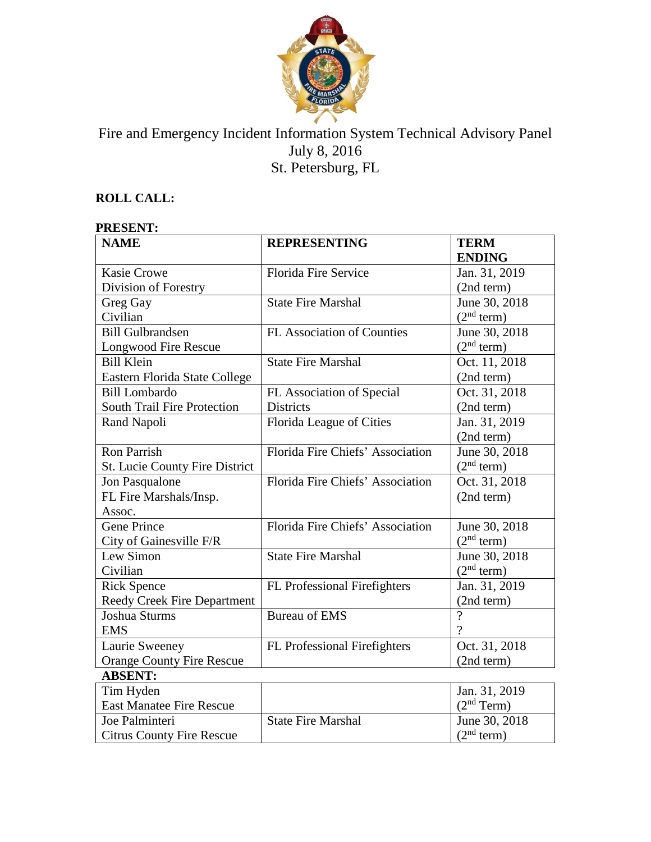

# Fire and Emergency Incident Information System Technical Advisory Panel July 8, 2016 St. Petersburg, FL

## **ROLL CALL:**

## **PRESENT:**

| <b>NAME</b>                        | <b>REPRESENTING</b>              | <b>TERM</b>            |
|------------------------------------|----------------------------------|------------------------|
|                                    |                                  | <b>ENDING</b>          |
| <b>Kasie Crowe</b>                 | <b>Florida Fire Service</b>      | Jan. 31, 2019          |
| Division of Forestry               |                                  | (2nd term)             |
| Greg Gay                           | <b>State Fire Marshal</b>        | June 30, 2018          |
| Civilian                           |                                  | (2 <sup>nd</sup> term) |
| <b>Bill Gulbrandsen</b>            | FL Association of Counties       | June 30, 2018          |
| Longwood Fire Rescue               |                                  | (2 <sup>nd</sup> term) |
| <b>Bill Klein</b>                  | <b>State Fire Marshal</b>        | Oct. 11, 2018          |
| Eastern Florida State College      |                                  | (2nd term)             |
| <b>Bill Lombardo</b>               | FL Association of Special        | Oct. 31, 2018          |
| South Trail Fire Protection        | <b>Districts</b>                 | (2nd term)             |
| Rand Napoli                        | Florida League of Cities         | Jan. 31, 2019          |
|                                    |                                  | (2nd term)             |
| <b>Ron Parrish</b>                 | Florida Fire Chiefs' Association | June 30, 2018          |
| St. Lucie County Fire District     |                                  | (2 <sup>nd</sup> term) |
| Jon Pasqualone                     | Florida Fire Chiefs' Association | Oct. 31, 2018          |
| FL Fire Marshals/Insp.             |                                  | (2nd term)             |
| Assoc.                             |                                  |                        |
| <b>Gene Prince</b>                 | Florida Fire Chiefs' Association | June 30, 2018          |
| City of Gainesville F/R            |                                  | (2 <sup>nd</sup> term) |
| Lew Simon                          | <b>State Fire Marshal</b>        | June 30, 2018          |
| Civilian                           |                                  | $(2nd$ term)           |
| <b>Rick Spence</b>                 | FL Professional Firefighters     | Jan. 31, 2019          |
| <b>Reedy Creek Fire Department</b> |                                  | (2nd term)             |
| Joshua Sturms                      | <b>Bureau of EMS</b>             | $\overline{?}$         |
| <b>EMS</b>                         |                                  | $\gamma$               |
| Laurie Sweeney                     | FL Professional Firefighters     | Oct. 31, 2018          |
| <b>Orange County Fire Rescue</b>   |                                  | (2nd term)             |
| <b>ABSENT:</b>                     |                                  |                        |
| Tim Hyden                          |                                  | Jan. 31, 2019          |
| <b>East Manatee Fire Rescue</b>    |                                  | (2 <sup>nd</sup> Term) |
| Joe Palminteri                     | <b>State Fire Marshal</b>        | June 30, 2018          |
| <b>Citrus County Fire Rescue</b>   |                                  | (2 <sup>nd</sup> term) |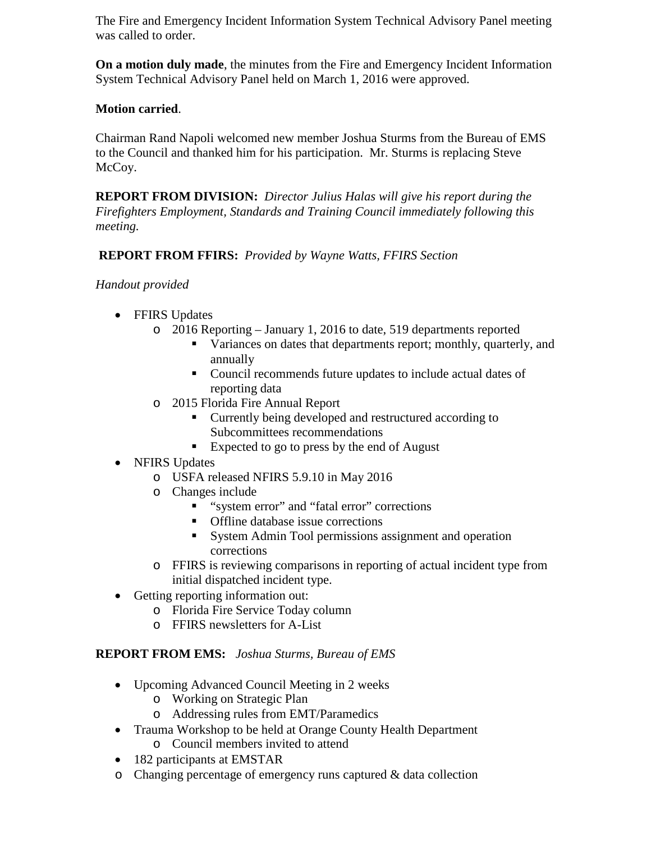The Fire and Emergency Incident Information System Technical Advisory Panel meeting was called to order.

**On a motion duly made**, the minutes from the Fire and Emergency Incident Information System Technical Advisory Panel held on March 1, 2016 were approved.

## **Motion carried**.

Chairman Rand Napoli welcomed new member Joshua Sturms from the Bureau of EMS to the Council and thanked him for his participation. Mr. Sturms is replacing Steve McCoy.

**REPORT FROM DIVISION:** *Director Julius Halas will give his report during the Firefighters Employment, Standards and Training Council immediately following this meeting.*

## **REPORT FROM FFIRS:** *Provided by Wayne Watts, FFIRS Section*

*Handout provided*

- FFIRS Updates
	- o 2016 Reporting January 1, 2016 to date, 519 departments reported
		- Variances on dates that departments report; monthly, quarterly, and annually
		- Council recommends future updates to include actual dates of reporting data
	- o 2015 Florida Fire Annual Report
		- **Currently being developed and restructured according to** Subcommittees recommendations
		- Expected to go to press by the end of August
- NFIRS Updates
	- o USFA released NFIRS 5.9.10 in May 2016
	- o Changes include
		- "system error" and "fatal error" corrections
		- **•** Offline database issue corrections
		- System Admin Tool permissions assignment and operation corrections
	- o FFIRS is reviewing comparisons in reporting of actual incident type from initial dispatched incident type.
- Getting reporting information out:
	- o Florida Fire Service Today column
	- o FFIRS newsletters for A-List

#### **REPORT FROM EMS:** *Joshua Sturms, Bureau of EMS*

- Upcoming Advanced Council Meeting in 2 weeks
	- o Working on Strategic Plan
	- o Addressing rules from EMT/Paramedics
- Trauma Workshop to be held at Orange County Health Department
	- o Council members invited to attend
- 182 participants at EMSTAR
- o Changing percentage of emergency runs captured & data collection